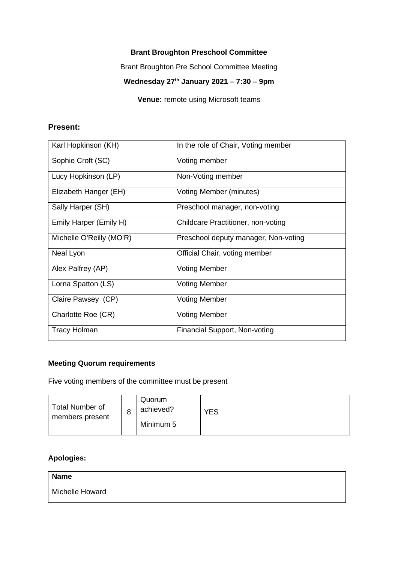#### **Brant Broughton Preschool Committee**

Brant Broughton Pre School Committee Meeting

## **Wednesday 27th January 2021 – 7:30 – 9pm**

**Venue:** remote using Microsoft teams

#### **Present:**

| Karl Hopkinson (KH)      | In the role of Chair, Voting member  |
|--------------------------|--------------------------------------|
| Sophie Croft (SC)        | Voting member                        |
| Lucy Hopkinson (LP)      | Non-Voting member                    |
| Elizabeth Hanger (EH)    | Voting Member (minutes)              |
| Sally Harper (SH)        | Preschool manager, non-voting        |
| Emily Harper (Emily H)   | Childcare Practitioner, non-voting   |
| Michelle O'Reilly (MO'R) | Preschool deputy manager, Non-voting |
| Neal Lyon                | Official Chair, voting member        |
| Alex Palfrey (AP)        | <b>Voting Member</b>                 |
| Lorna Spatton (LS)       | <b>Voting Member</b>                 |
| Claire Pawsey (CP)       | <b>Voting Member</b>                 |
| Charlotte Roe (CR)       | <b>Voting Member</b>                 |
| <b>Tracy Holman</b>      | Financial Support, Non-voting        |

#### **Meeting Quorum requirements**

Five voting members of the committee must be present

| Total Number of<br>members present | 8 | Quorum<br>achieved?<br>Minimum 5 | YES |
|------------------------------------|---|----------------------------------|-----|
|------------------------------------|---|----------------------------------|-----|

### **Apologies:**

| <b>Name</b>     |  |
|-----------------|--|
| Michelle Howard |  |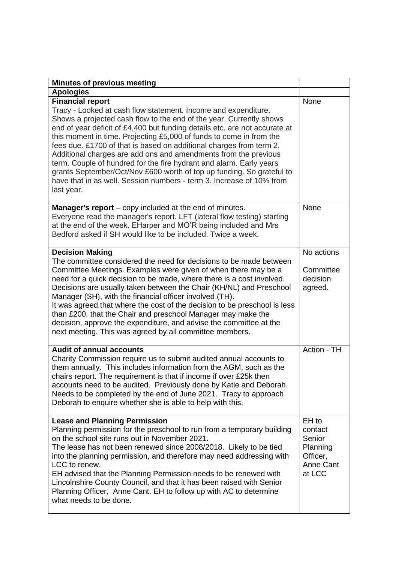| <b>Minutes of previous meeting</b>                                                                                                                                                                                                                                                                                                                                                                                                                                                                                                                                                                                                                                                                    |                                                                           |
|-------------------------------------------------------------------------------------------------------------------------------------------------------------------------------------------------------------------------------------------------------------------------------------------------------------------------------------------------------------------------------------------------------------------------------------------------------------------------------------------------------------------------------------------------------------------------------------------------------------------------------------------------------------------------------------------------------|---------------------------------------------------------------------------|
| <b>Apologies</b>                                                                                                                                                                                                                                                                                                                                                                                                                                                                                                                                                                                                                                                                                      |                                                                           |
| <b>Financial report</b><br>Tracy - Looked at cash flow statement. Income and expenditure.<br>Shows a projected cash flow to the end of the year. Currently shows<br>end of year deficit of £4,400 but funding details etc. are not accurate at<br>this moment in time. Projecting £5,000 of funds to come in from the<br>fees due. £1700 of that is based on additional charges from term 2.<br>Additional charges are add ons and amendments from the previous<br>term. Couple of hundred for the fire hydrant and alarm. Early years<br>grants September/Oct/Nov £600 worth of top up funding. So grateful to<br>have that in as well. Session numbers - term 3. Increase of 10% from<br>last year. | None                                                                      |
| <b>Manager's report</b> – copy included at the end of minutes.<br>Everyone read the manager's report. LFT (lateral flow testing) starting<br>at the end of the week. EHarper and MO'R being included and Mrs<br>Bedford asked if SH would like to be included. Twice a week.                                                                                                                                                                                                                                                                                                                                                                                                                          | <b>None</b>                                                               |
| <b>Decision Making</b><br>The committee considered the need for decisions to be made between<br>Committee Meetings. Examples were given of when there may be a<br>need for a quick decision to be made, where there is a cost involved.<br>Decisions are usually taken between the Chair (KH/NL) and Preschool<br>Manager (SH), with the financial officer involved (TH).<br>It was agreed that where the cost of the decision to be preschool is less<br>than £200, that the Chair and preschool Manager may make the<br>decision, approve the expenditure, and advise the committee at the<br>next meeting. This was agreed by all committee members.                                               | No actions<br>Committee<br>decision<br>agreed.                            |
| <b>Audit of annual accounts</b><br>Charity Commission require us to submit audited annual accounts to<br>them annually. This includes information from the AGM, such as the<br>chairs report. The requirement is that if income if over £25k then<br>accounts need to be audited. Previously done by Katie and Deborah.<br>Needs to be completed by the end of June 2021. Tracy to approach<br>Deborah to enquire whether she is able to help with this.                                                                                                                                                                                                                                              | Action - TH                                                               |
| <b>Lease and Planning Permission</b><br>Planning permission for the preschool to run from a temporary building<br>on the school site runs out in November 2021.<br>The lease has not been renewed since 2008/2018. Likely to be tied<br>into the planning permission, and therefore may need addressing with<br>LCC to renew.<br>EH advised that the Planning Permission needs to be renewed with<br>Lincolnshire County Council, and that it has been raised with Senior<br>Planning Officer, Anne Cant. EH to follow up with AC to determine<br>what needs to be done.                                                                                                                              | EH to<br>contact<br>Senior<br>Planning<br>Officer,<br>Anne Cant<br>at LCC |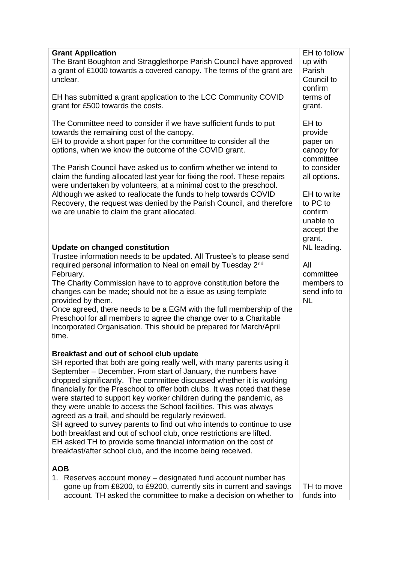| <b>Grant Application</b><br>The Brant Boughton and Stragglethorpe Parish Council have approved<br>a grant of £1000 towards a covered canopy. The terms of the grant are<br>unclear.<br>EH has submitted a grant application to the LCC Community COVID<br>grant for £500 towards the costs.<br>The Committee need to consider if we have sufficient funds to put<br>towards the remaining cost of the canopy.<br>EH to provide a short paper for the committee to consider all the<br>options, when we know the outcome of the COVID grant.<br>The Parish Council have asked us to confirm whether we intend to<br>claim the funding allocated last year for fixing the roof. These repairs<br>were undertaken by volunteers, at a minimal cost to the preschool.                                                                  | EH to follow<br>up with<br>Parish<br>Council to<br>confirm<br>terms of<br>grant.<br>EH to<br>provide<br>paper on<br>canopy for<br>committee<br>to consider<br>all options. |
|------------------------------------------------------------------------------------------------------------------------------------------------------------------------------------------------------------------------------------------------------------------------------------------------------------------------------------------------------------------------------------------------------------------------------------------------------------------------------------------------------------------------------------------------------------------------------------------------------------------------------------------------------------------------------------------------------------------------------------------------------------------------------------------------------------------------------------|----------------------------------------------------------------------------------------------------------------------------------------------------------------------------|
| Although we asked to reallocate the funds to help towards COVID<br>Recovery, the request was denied by the Parish Council, and therefore<br>we are unable to claim the grant allocated.                                                                                                                                                                                                                                                                                                                                                                                                                                                                                                                                                                                                                                            | EH to write<br>to PC to<br>confirm<br>unable to<br>accept the<br>grant.                                                                                                    |
| <b>Update on changed constitution</b><br>Trustee information needs to be updated. All Trustee's to please send<br>required personal information to Neal on email by Tuesday 2nd<br>February.<br>The Charity Commission have to to approve constitution before the<br>changes can be made; should not be a issue as using template<br>provided by them.<br>Once agreed, there needs to be a EGM with the full membership of the<br>Preschool for all members to agree the change over to a Charitable<br>Incorporated Organisation. This should be prepared for March/April<br>time.                                                                                                                                                                                                                                                | NL leading.<br>All<br>committee<br>members to<br>send info to<br><b>NL</b>                                                                                                 |
| Breakfast and out of school club update<br>SH reported that both are going really well, with many parents using it<br>September – December. From start of January, the numbers have<br>dropped significantly. The committee discussed whether it is working<br>financially for the Preschool to offer both clubs. It was noted that these<br>were started to support key worker children during the pandemic, as<br>they were unable to access the School facilities. This was always<br>agreed as a trail, and should be regularly reviewed.<br>SH agreed to survey parents to find out who intends to continue to use<br>both breakfast and out of school club, once restrictions are lifted.<br>EH asked TH to provide some financial information on the cost of<br>breakfast/after school club, and the income being received. |                                                                                                                                                                            |
| <b>AOB</b><br>1. Reserves account money – designated fund account number has<br>gone up from £8200, to £9200, currently sits in current and savings<br>account. TH asked the committee to make a decision on whether to                                                                                                                                                                                                                                                                                                                                                                                                                                                                                                                                                                                                            | TH to move<br>funds into                                                                                                                                                   |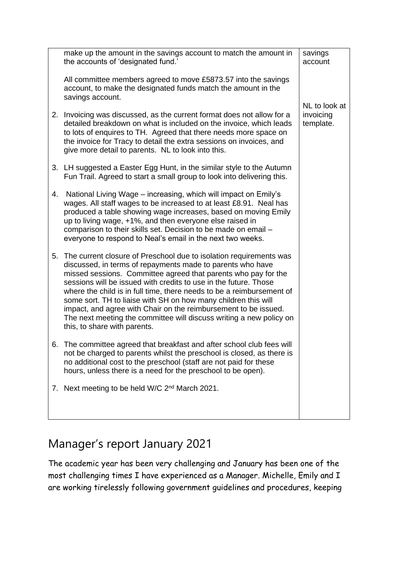|    | make up the amount in the savings account to match the amount in<br>the accounts of 'designated fund.'                                                                                                                                                                                                                                                                                                                                                                                                                                                                                      | savings<br>account                      |
|----|---------------------------------------------------------------------------------------------------------------------------------------------------------------------------------------------------------------------------------------------------------------------------------------------------------------------------------------------------------------------------------------------------------------------------------------------------------------------------------------------------------------------------------------------------------------------------------------------|-----------------------------------------|
|    | All committee members agreed to move £5873.57 into the savings<br>account, to make the designated funds match the amount in the<br>savings account.                                                                                                                                                                                                                                                                                                                                                                                                                                         |                                         |
|    | 2. Invoicing was discussed, as the current format does not allow for a<br>detailed breakdown on what is included on the invoice, which leads<br>to lots of enquires to TH. Agreed that there needs more space on<br>the invoice for Tracy to detail the extra sessions on invoices, and<br>give more detail to parents. NL to look into this.                                                                                                                                                                                                                                               | NL to look at<br>invoicing<br>template. |
|    | 3. LH suggested a Easter Egg Hunt, in the similar style to the Autumn<br>Fun Trail. Agreed to start a small group to look into delivering this.                                                                                                                                                                                                                                                                                                                                                                                                                                             |                                         |
| 4. | National Living Wage – increasing, which will impact on Emily's<br>wages. All staff wages to be increased to at least £8.91. Neal has<br>produced a table showing wage increases, based on moving Emily<br>up to living wage, +1%, and then everyone else raised in<br>comparison to their skills set. Decision to be made on email -<br>everyone to respond to Neal's email in the next two weeks.                                                                                                                                                                                         |                                         |
| 5. | The current closure of Preschool due to isolation requirements was<br>discussed, in terms of repayments made to parents who have<br>missed sessions. Committee agreed that parents who pay for the<br>sessions will be issued with credits to use in the future. Those<br>where the child is in full time, there needs to be a reimbursement of<br>some sort. TH to liaise with SH on how many children this will<br>impact, and agree with Chair on the reimbursement to be issued.<br>The next meeting the committee will discuss writing a new policy on<br>this, to share with parents. |                                         |
|    | The committee agreed that breakfast and after school club fees will<br>not be charged to parents whilst the preschool is closed, as there is<br>no additional cost to the preschool (staff are not paid for these<br>hours, unless there is a need for the preschool to be open).                                                                                                                                                                                                                                                                                                           |                                         |
| 7. | Next meeting to be held W/C 2 <sup>nd</sup> March 2021.                                                                                                                                                                                                                                                                                                                                                                                                                                                                                                                                     |                                         |

# Manager's report January 2021

The academic year has been very challenging and January has been one of the most challenging times I have experienced as a Manager. Michelle, Emily and I are working tirelessly following government guidelines and procedures, keeping